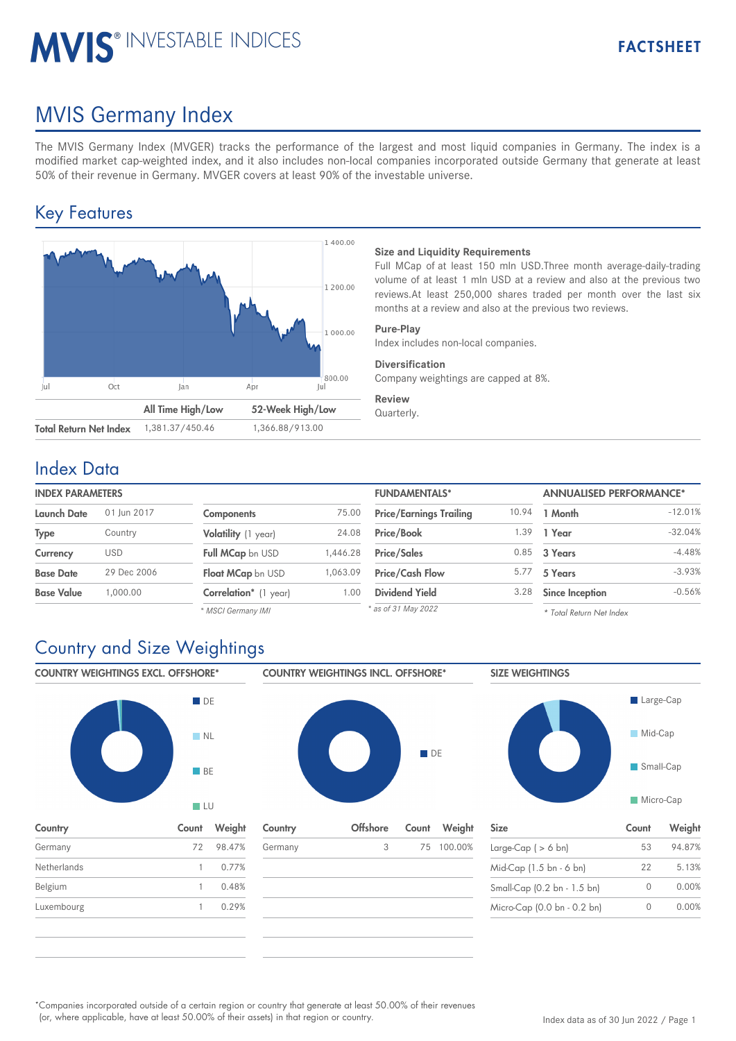# **MVIS® INVESTABLE INDICES**

## MVIS Germany Index

The MVIS Germany Index (MVGER) tracks the performance of the largest and most liquid companies in Germany. The index is a modified market cap-weighted index, and it also includes non-local companies incorporated outside Germany that generate at least 50% of their revenue in Germany. MVGER covers at least 90% of the investable universe.

## Key Features



#### **Size and Liquidity Requirements**

Full MCap of at least 150 mln USD.Three month average-daily-trading volume of at least 1 mln USD at a review and also at the previous two reviews.At least 250,000 shares traded per month over the last six months at a review and also at the previous two reviews.

#### **Pure-Play**

Index includes non-local companies.

#### **Diversification**

Company weightings are capped at 8%.

#### **Review**

Quarterly.

### Index Data

| <b>INDEX PARAMETERS</b> |             |                       |          | <b>FUNDAMENTALS*</b>           |        | <b>ANNUALISED PERFORMANCE*</b> |           |
|-------------------------|-------------|-----------------------|----------|--------------------------------|--------|--------------------------------|-----------|
| <b>Launch Date</b>      | 01 Jun 2017 | Components            | 75.00    | <b>Price/Earnings Trailing</b> | 10.94  | 1 Month                        | $-12.01%$ |
| <b>Type</b>             | Country     | Volatility (1 year)   | 24.08    | Price/Book                     | . . 39 | 1 Year                         | $-32.04%$ |
| Currency                | <b>USD</b>  | Full MCap bn USD      | 1,446.28 | <b>Price/Sales</b>             | 0.85   | 3 Years                        | $-4.48%$  |
| <b>Base Date</b>        | 29 Dec 2006 | Float MCap bn USD     | 1,063.09 | <b>Price/Cash Flow</b>         | 5.77   | 5 Years                        | $-3.93%$  |
| <b>Base Value</b>       | .000.00     | Correlation* (1 year) | 1.00     | <b>Dividend Yield</b>          | 3.28   | <b>Since Inception</b>         | $-0.56%$  |
|                         |             | * MSCI Germany IMI    |          | * as of 31 May 2022            |        | * Total Return Net Index       |           |

*\* MSCI Germany IMI*

#### *\* Total Return Net Index*

## Country and Size Weightings

COUNTRY WEIGHTINGS EXCL. OFFSHORE\*



Germany 72 98.47% Netherlands 1 0.77% Belgium 1 0.48% Luxembourg 1 0.29%

|--|

| Country | <b>Offshore</b> | Count Weight | <b>Size</b>                   | Count | Weight |
|---------|-----------------|--------------|-------------------------------|-------|--------|
| Germany | 3               | 75 100.00%   | Large-Cap $( > 6 \text{ bn})$ | 53    | 94.87% |
|         |                 |              | Mid-Cap (1.5 bn - 6 bn)       | 22    | 5.13%  |
|         |                 |              | Small-Cap (0.2 bn - 1.5 bn)   | 0     | 0.00%  |
|         |                 |              | Micro-Cap (0.0 bn - 0.2 bn)   | 0     | 0.00%  |
|         |                 |              |                               |       |        |



| <b>Size</b>                 | Count     | Weight |
|-----------------------------|-----------|--------|
| Large-Cap $($ > 6 bn)       | 53        | 94.87% |
| Mid-Cap (1.5 bn - 6 bn)     | 22        | 5.13%  |
| Small-Cap (0.2 bn - 1.5 bn) | $\bigcap$ | 0.00%  |
| Micro-Cap (0.0 bn - 0.2 bn) |           | 0.00%  |

Companies incorporated outside of a certain region or country that generate at least 50.00% of their revenues \* (or, where applicable, have at least 50.00% of their assets) in that region or country.